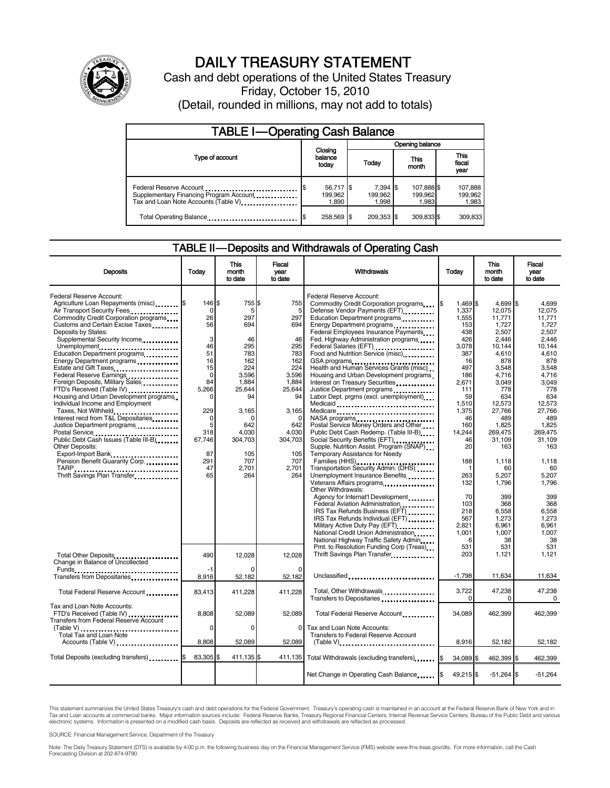

# DAILY TREASURY STATEMENT

Cash and debt operations of the United States Treasury Friday, October 15, 2010 (Detail, rounded in millions, may not add to totals)

| <b>TABLE I-Operating Cash Balance</b>                                                                      |                               |                               |                                |                               |  |  |  |
|------------------------------------------------------------------------------------------------------------|-------------------------------|-------------------------------|--------------------------------|-------------------------------|--|--|--|
|                                                                                                            | Opening balance               |                               |                                |                               |  |  |  |
| Type of account                                                                                            | Closing<br>balance<br>today   | Today                         | This<br>month                  | <b>This</b><br>fiscal<br>year |  |  |  |
| Federal Reserve Account<br>Supplementary Financing Program Account<br>Tax and Loan Note Accounts (Table V) | 56,717 \$<br>199.962<br>1,890 | $7.394$ S<br>199.962<br>1,998 | 107,888 \$<br>199,962<br>1,983 | 107,888<br>199,962<br>1,983   |  |  |  |
| Total Operating Balance                                                                                    | 258,569 \$                    | 209.353 \$                    | 309.833 \$                     | 309.833                       |  |  |  |

#### TABLE II — Deposits and Withdrawals of Operating Cash

| <b>Deposits</b>                                                                                                                                                                                                                                                                                                                                                                                                                                                                                                                                                                                                                                                | Todav                                                                                                                          | This<br>month<br>to date                                                                                                                      | Fiscal<br>vear<br>to date                                                                                                                  | Withdrawals                                                                                                                                                                                                                                                                                                                                                                                                                                                                                                                                                                                                                                                      | Todav                                                                                                                                                           | <b>This</b><br>month<br>to date                                                                                                                                                      | Fiscal<br>year<br>to date                                                                                                                                                        |
|----------------------------------------------------------------------------------------------------------------------------------------------------------------------------------------------------------------------------------------------------------------------------------------------------------------------------------------------------------------------------------------------------------------------------------------------------------------------------------------------------------------------------------------------------------------------------------------------------------------------------------------------------------------|--------------------------------------------------------------------------------------------------------------------------------|-----------------------------------------------------------------------------------------------------------------------------------------------|--------------------------------------------------------------------------------------------------------------------------------------------|------------------------------------------------------------------------------------------------------------------------------------------------------------------------------------------------------------------------------------------------------------------------------------------------------------------------------------------------------------------------------------------------------------------------------------------------------------------------------------------------------------------------------------------------------------------------------------------------------------------------------------------------------------------|-----------------------------------------------------------------------------------------------------------------------------------------------------------------|--------------------------------------------------------------------------------------------------------------------------------------------------------------------------------------|----------------------------------------------------------------------------------------------------------------------------------------------------------------------------------|
| Federal Reserve Account:<br>Agriculture Loan Repayments (misc) [\$<br>Air Transport Security Fees<br>Commodity Credit Corporation programs<br>Customs and Certain Excise Taxes<br>Deposits by States:<br>Supplemental Security Income<br>Unemployment<br>Education Department programs<br>Energy Department programs<br>Estate and Gift Taxes<br>Federal Reserve Earnings<br>Foreign Deposits, Military Sales<br>FTD's Received (Table IV)<br>Housing and Urban Development programs<br>Individual Income and Employment<br>Taxes, Not Withheld<br>Interest recd from T&L Depositaries<br>Justice Department programs<br>Public Debt Cash Issues (Table III-B) | 146 \$<br>0<br>26<br>56<br>3<br>46<br>51<br>16<br>15<br>$\mathbf 0$<br>84<br>5.266<br>229<br>$\mathbf 0$<br>5<br>318<br>67,746 | 755 \$<br>5<br>297<br>694<br>46<br>295<br>783<br>162<br>224<br>3,596<br>1,884<br>25,644<br>94<br>3,165<br>$\Omega$<br>642<br>4.030<br>304,703 | 755<br>5<br>297<br>694<br>46<br>295<br>783<br>162<br>224<br>3,596<br>1,884<br>25,644<br>94<br>3,165<br>$\Omega$<br>642<br>4.030<br>304,703 | Federal Reserve Account:<br>Commodity Credit Corporation programs<br>Defense Vendor Payments (EFT)<br>Education Department programs<br>Energy Department programs<br>Federal Employees Insurance Payments<br>Fed. Highway Administration programs<br>Federal Salaries (EFT)<br>Food and Nutrition Service (misc)<br>GSA programs<br>Health and Human Services Grants (misc)<br>Housing and Urban Development programs<br>Interest on Treasury Securities<br>Labor Dept. prgms (excl. unemployment)<br>Medicaid<br>Medicare<br>NASA programs<br>Postal Service Money Orders and Other<br>Public Debt Cash Redemp. (Table III-B)<br>Social Security Benefits (EFT) | l\$<br>1.469 \$<br>1,337<br>1,555<br>153<br>438<br>426<br>3.078<br>387<br>16<br>497<br>186<br>2,671<br>111<br>59<br>1,510<br>1,375<br>46<br>160<br>14.244<br>46 | $4.699$ S<br>12,075<br>11,771<br>1,727<br>2,507<br>2.446<br>10.144<br>4,610<br>878<br>3,548<br>4,716<br>3,049<br>778<br>634<br>12,573<br>27,766<br>489<br>1,825<br>269.475<br>31,109 | 4,699<br>12,075<br>11,771<br>1.727<br>2.507<br>2.446<br>10.144<br>4,610<br>878<br>3.548<br>4,716<br>3.049<br>778<br>634<br>12,573<br>27,766<br>489<br>1,825<br>269.475<br>31,109 |
| <b>Other Deposits:</b><br>Export-Import Bank<br>Pension Benefit Guaranty Corp<br>TARP<br>Thrift Savings Plan Transfer<br>1996 - Thrift Savings Plan Transfer<br>1997 - Thrift Savings Plan Transfer<br>1997 - Thrift Savings Plan Transfer<br>1998 - Thrift Savings Plan Transfer<br>1998 - Thrift Savings Plan Transfer<br>1998 -                                                                                                                                                                                                                                                                                                                             | 87<br>291<br>47<br>65                                                                                                          | 105<br>707<br>2.701<br>264                                                                                                                    | 105<br>707<br>2,701<br>264                                                                                                                 | Supple. Nutrition Assist. Program (SNAP)<br>Temporary Assistance for Needy<br>Families (HHS)<br>Transportation Security Admin. (DHS)<br>Unemployment Insurance Benefits<br>Other Withdrawals:<br>Agency for Internat'l Development<br>Federal Aviation Administration<br>IRS Tax Refunds Business (EFT)<br>IRS Tax Refunds Individual (EFT)<br>Military Active Duty Pay (EFT)<br>National Credit Union Administration<br>National Highway Traffic Safety Admin                                                                                                                                                                                                   | 20<br>188<br>1<br>263<br>132<br>70<br>103<br>218<br>567<br>2.821<br>1,001<br>6                                                                                  | 163<br>1,118<br>60<br>5.207<br>1.796<br>399<br>368<br>6,558<br>1,273<br>6.961<br>1,007<br>38                                                                                         | 163<br>1,118<br>60<br>5.207<br>1.796<br>399<br>368<br>6,558<br>1.273<br>6.961<br>1,007<br>38                                                                                     |
| Total Other Deposits<br>Change in Balance of Uncollected                                                                                                                                                                                                                                                                                                                                                                                                                                                                                                                                                                                                       | 490<br>$-1$                                                                                                                    | 12,028                                                                                                                                        | 12.028                                                                                                                                     | Pmt. to Resolution Funding Corp (Treas)<br>Thrift Savings Plan Transfer                                                                                                                                                                                                                                                                                                                                                                                                                                                                                                                                                                                          | 531<br>203                                                                                                                                                      | 531<br>1,121                                                                                                                                                                         | 531<br>1,121                                                                                                                                                                     |
| Total Federal Reserve Account                                                                                                                                                                                                                                                                                                                                                                                                                                                                                                                                                                                                                                  | 8,916<br>83,413                                                                                                                | 52,182<br>411,228                                                                                                                             | 52,182<br>411,228                                                                                                                          | Unclassified<br>Total, Other Withdrawals                                                                                                                                                                                                                                                                                                                                                                                                                                                                                                                                                                                                                         | $-1,798$<br>3,722<br>$\Omega$                                                                                                                                   | 11,634<br>47,238<br>0                                                                                                                                                                | 11,634<br>47,238<br>$\Omega$                                                                                                                                                     |
| Tax and Loan Note Accounts:<br>FTD's Received (Table IV)<br><b>Transfers from Federal Reserve Account</b><br>(Table V)<br>Total Tax and Loan Note<br>Accounts (Table V)                                                                                                                                                                                                                                                                                                                                                                                                                                                                                        | 8.808<br>$\mathbf 0$<br>8,808                                                                                                  | 52.089<br>$\Omega$<br>52,089                                                                                                                  | 52,089<br>0<br>52,089                                                                                                                      | Total Federal Reserve Account<br>Tax and Loan Note Accounts:<br>Transfers to Federal Reserve Account<br>$(Table V)$                                                                                                                                                                                                                                                                                                                                                                                                                                                                                                                                              | 34.089<br>8,916                                                                                                                                                 | 462.399<br>52,182                                                                                                                                                                    | 462,399<br>52,182                                                                                                                                                                |
| Total Deposits (excluding transfers) \$                                                                                                                                                                                                                                                                                                                                                                                                                                                                                                                                                                                                                        | 83,305 \$                                                                                                                      | 411,135 \$                                                                                                                                    | 411,135                                                                                                                                    | Total Withdrawals (excluding transfers)                                                                                                                                                                                                                                                                                                                                                                                                                                                                                                                                                                                                                          | I\$<br>34,089 \$                                                                                                                                                | 462,399 \$                                                                                                                                                                           | 462,399                                                                                                                                                                          |
|                                                                                                                                                                                                                                                                                                                                                                                                                                                                                                                                                                                                                                                                |                                                                                                                                |                                                                                                                                               |                                                                                                                                            | Net Change in Operating Cash Balance                                                                                                                                                                                                                                                                                                                                                                                                                                                                                                                                                                                                                             | I\$<br>49,215 \$                                                                                                                                                | $-51,264$ \$                                                                                                                                                                         | $-51,264$                                                                                                                                                                        |

This statement summarizes the United States Treasury's cash and debt operations for the Federal Government. Treasury's operating cash is maintained in an account at the Federal Reserve Bank of New York and in<br>Tax and Loan

SOURCE: Financial Management Service, Department of the Treasury

Note: The Daily Treasury Statement (DTS) is available by 4:00 p.m. the following business day on the Financial Management Service (FMS) website www.fms.treas.gov/dts. For more information, call the Cash<br>Forecasting Divisio